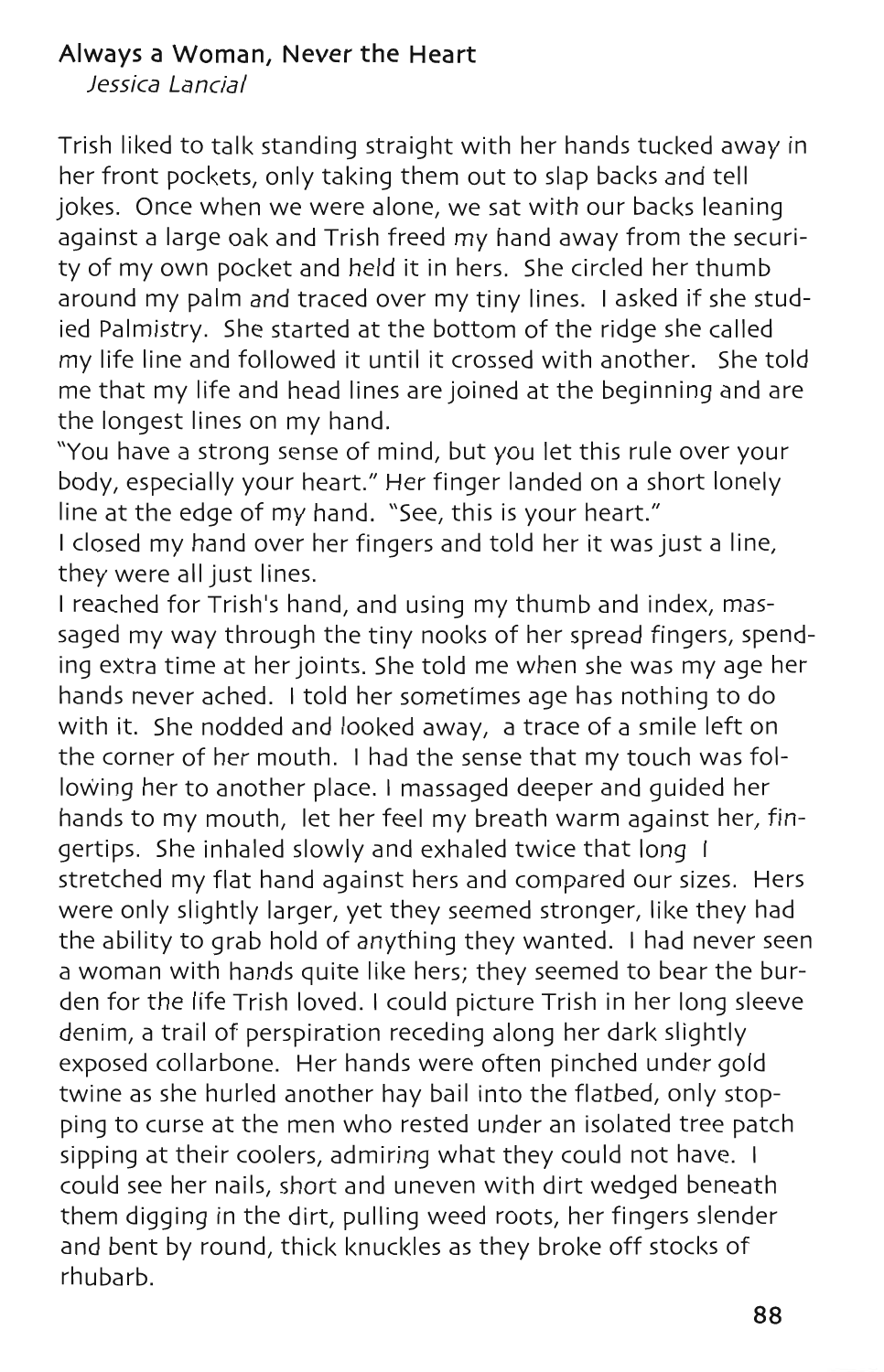## Always a Woman, Never the Heart

Jessica Lancia!

Trish liked to talk standing straight with her hands tucked away in her front pockets, only taking them out to slap backs and tell jokes. Once when we were alone, we sat with our backs leaning against a large oak and Trish freed my hand away from the security of my own pocket and held it in hers. She circled her thumb around my palm and traced over my tiny lines. I asked if she studied Palmistry. She started at the bottom of the ridge she called my life line and followed it until it crossed with another. She told me that my life and head lines are joined at the beginning and are the longest lines on my hand.

"You have a strong sense of mind, but you let this rule over your body, especially your heart." Her finger landed on a short lonely line at the edge of my hand. "See, this is your heart."

I closed my hand over her fingers and told her it was just a line, they were all just lines.

I reached for Trish's hand, and using my thumb and index, massaged my way through the tiny nooks of her spread fingers, spending extra time at her joints. She told me when she was my age her hands never ached. I told her sometimes age has nothing to do with it. She nodded and looked away, a trace of a smile left on the corner of her mouth. I had the sense that my touch was following her to another place. I massaged deeper and guided her hands to my mouth, let her feel my breath warm against her, fingertips. She inhaled slowly and exhaled twice that long I stretched my flat hand against hers and compared our sizes. Hers were only slightly larger, yet they seemed stronger, like they had the ability to grab hold of anything they wanted. I had never seen a woman with hands quite like hers; they seemed to bear the burden for the life Trish loved. I could picture Trish in her long sleeve denim, a trail of perspiration receding along her dark slightly exposed collarbone. Her hands were often pinched under gold twine as she hurled another hay bail into the flatbed, only stopping to curse at the men who rested under an isolated tree patch sipping at their coolers, admiring what they could not have. could see her nails, short and uneven with dirt wedged beneath them digging in the dirt, pulling weed roots, her fingers slender and bent by round, thick knuckles as they broke off stocks of rhubarb.